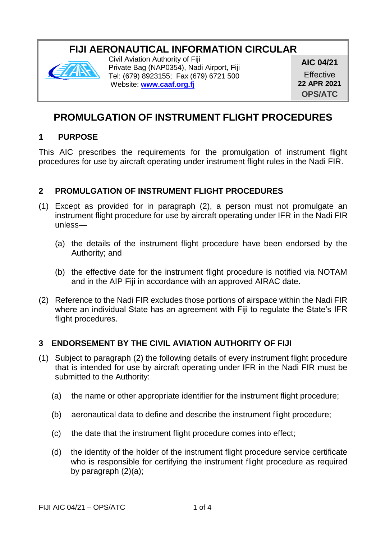# **FIJI AERONAUTICAL INFORMATION CIRCULAR**



Civil Aviation Authority of Fiji Private Bag (NAP0354), Nadi Airport, Fiji Tel: (679) 8923155; Fax (679) 6721 500 Website: **[www.caaf.org.fj](http://www.caaf.org.fj/)**

**AIC 04/21 Effective 22 APR 2021 OPS/ATC**

## **PROMULGATION OF INSTRUMENT FLIGHT PROCEDURES**

### **1 PURPOSE**

This AIC prescribes the requirements for the promulgation of instrument flight procedures for use by aircraft operating under instrument flight rules in the Nadi FIR.

### **2 PROMULGATION OF INSTRUMENT FLIGHT PROCEDURES**

- (1) Except as provided for in paragraph (2), a person must not promulgate an instrument flight procedure for use by aircraft operating under IFR in the Nadi FIR unless—
	- (a) the details of the instrument flight procedure have been endorsed by the Authority; and
	- (b) the effective date for the instrument flight procedure is notified via NOTAM and in the AIP Fiji in accordance with an approved AIRAC date.
- (2) Reference to the Nadi FIR excludes those portions of airspace within the Nadi FIR where an individual State has an agreement with Fiji to regulate the State's IFR flight procedures.

### **3 ENDORSEMENT BY THE CIVIL AVIATION AUTHORITY OF FIJI**

- (1) Subject to paragraph (2) the following details of every instrument flight procedure that is intended for use by aircraft operating under IFR in the Nadi FIR must be submitted to the Authority:
	- (a) the name or other appropriate identifier for the instrument flight procedure;
	- (b) aeronautical data to define and describe the instrument flight procedure;
	- (c) the date that the instrument flight procedure comes into effect;
	- (d) the identity of the holder of the instrument flight procedure service certificate who is responsible for certifying the instrument flight procedure as required by paragraph (2)(a);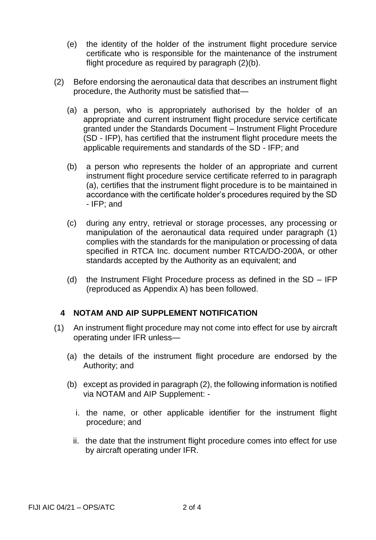- (e) the identity of the holder of the instrument flight procedure service certificate who is responsible for the maintenance of the instrument flight procedure as required by paragraph (2)(b).
- (2) Before endorsing the aeronautical data that describes an instrument flight procedure, the Authority must be satisfied that—
	- (a) a person, who is appropriately authorised by the holder of an appropriate and current instrument flight procedure service certificate granted under the Standards Document – Instrument Flight Procedure (SD - IFP), has certified that the instrument flight procedure meets the applicable requirements and standards of the SD - IFP; and
	- (b) a person who represents the holder of an appropriate and current instrument flight procedure service certificate referred to in paragraph (a), certifies that the instrument flight procedure is to be maintained in accordance with the certificate holder's procedures required by the SD - IFP; and
	- (c) during any entry, retrieval or storage processes, any processing or manipulation of the aeronautical data required under paragraph (1) complies with the standards for the manipulation or processing of data specified in RTCA Inc. document number RTCA/DO-200A, or other standards accepted by the Authority as an equivalent; and
	- (d) the Instrument Flight Procedure process as defined in the SD IFP (reproduced as Appendix A) has been followed.

#### **4 NOTAM AND AIP SUPPLEMENT NOTIFICATION**

- (1) An instrument flight procedure may not come into effect for use by aircraft operating under IFR unless—
	- (a) the details of the instrument flight procedure are endorsed by the Authority; and
	- (b) except as provided in paragraph (2), the following information is notified via NOTAM and AIP Supplement:
		- i. the name, or other applicable identifier for the instrument flight procedure; and
		- ii. the date that the instrument flight procedure comes into effect for use by aircraft operating under IFR.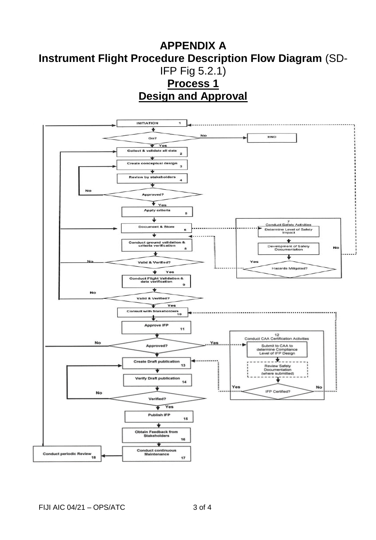## **APPENDIX A Instrument Flight Procedure Description Flow Diagram** (SD-IFP Fig 5.2.1) **Process 1 Design and Approval**